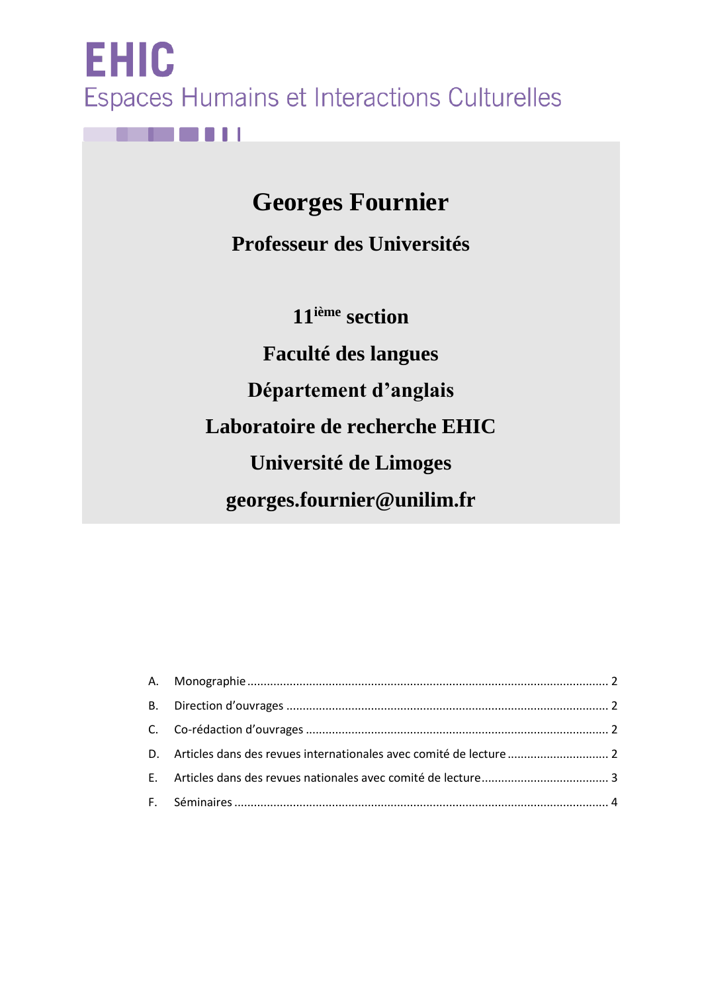**EHIC** Espaces Humains et Interactions Culturelles

8 L I

**Georges Fournier** 

**Professeur des Universités**

**11ième section**

**Faculté des langues Département d'anglais Laboratoire de recherche EHIC Université de Limoges georges.fournier@unilim.fr**

| D. Articles dans des revues internationales avec comité de lecture |  |
|--------------------------------------------------------------------|--|
|                                                                    |  |
|                                                                    |  |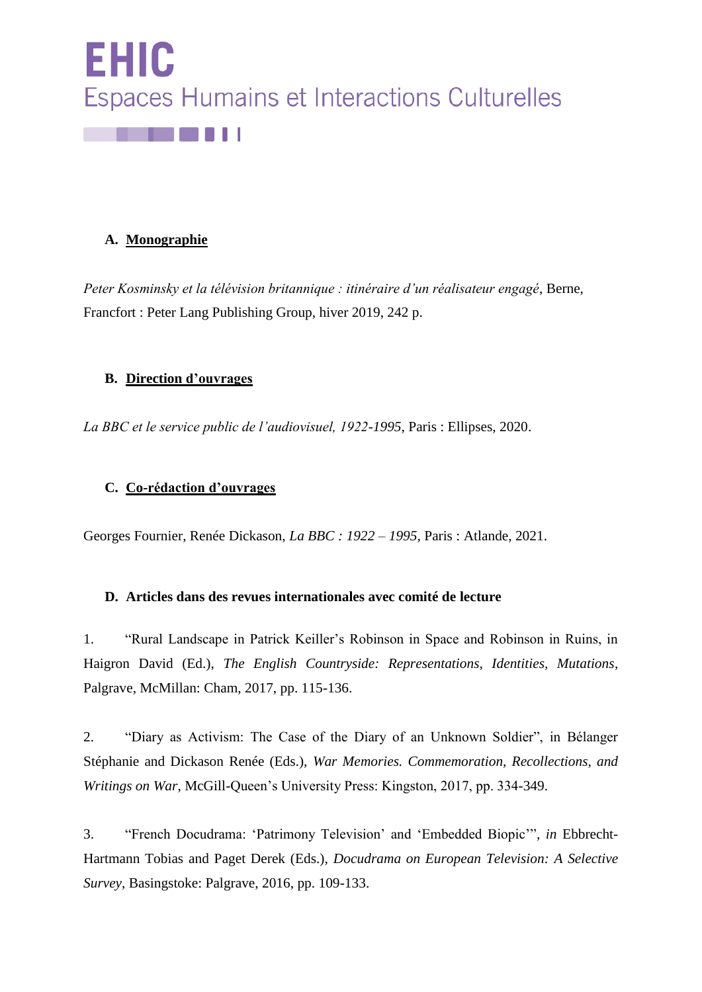

# <span id="page-1-0"></span>**A. Monographie**

*Peter Kosminsky et la télévision britannique : itinéraire d'un réalisateur engagé*, Berne, Francfort : Peter Lang Publishing Group, hiver 2019, 242 p.

## <span id="page-1-1"></span>**B. Direction d'ouvrages**

*La BBC et le service public de l'audiovisuel, 1922-1995*, Paris : Ellipses, 2020.

## <span id="page-1-2"></span>**C. Co-rédaction d'ouvrages**

Georges Fournier, Renée Dickason, *La BBC : 1922 – 1995,* Paris : Atlande, 2021.

#### <span id="page-1-3"></span>**D. Articles dans des revues internationales avec comité de lecture**

1. "Rural Landscape in Patrick Keiller's Robinson in Space and Robinson in Ruins, in Haigron David (Ed.), *The English Countryside: Representations, Identities, Mutations*, Palgrave, McMillan: Cham, 2017, pp. 115-136.

2. "Diary as Activism: The Case of the Diary of an Unknown Soldier", in Bélanger Stéphanie and Dickason Renée (Eds.), *War Memories. Commemoration, Recollections, and Writings on War*, McGill-Queen's University Press: Kingston, 2017, pp. 334-349.

3. "French Docudrama: 'Patrimony Television' and 'Embedded Biopic'"*, in* Ebbrecht-Hartmann Tobias and Paget Derek (Eds.), *Docudrama on European Television: A Selective Survey*, Basingstoke: Palgrave, 2016, pp. 109-133.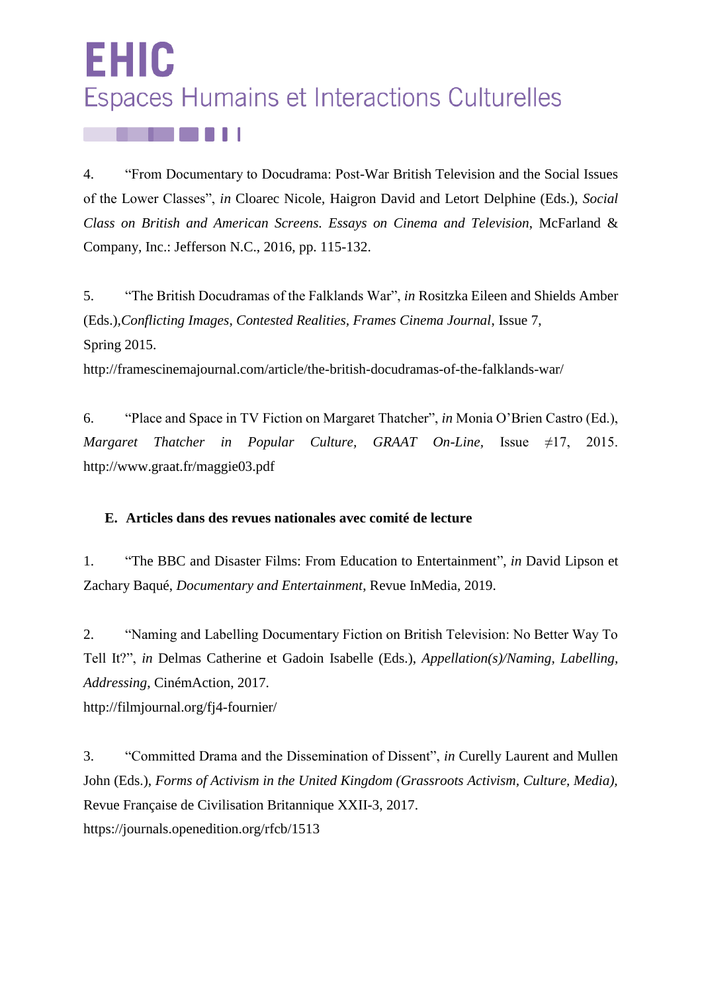# EHIC Espaces Humains et Interactions Culturelles

4. "From Documentary to Docudrama: Post-War British Television and the Social Issues of the Lower Classes", *in* Cloarec Nicole, Haigron David and Letort Delphine (Eds.), *Social Class on British and American Screens. Essays on Cinema and Television*, McFarland & Company, Inc.: Jefferson N.C., 2016, pp. 115-132.

5. "The British Docudramas of the Falklands War", *in* Rositzka Eileen and Shields Amber (Eds.)*,Conflicting Images, Contested Realities, Frames Cinema Journal*, Issue 7, Spring 2015.

<http://framescinemajournal.com/article/the-british-docudramas-of-the-falklands-war/>

6. "Place and Space in TV Fiction on Margaret Thatcher", *in* Monia O'Brien Castro (Ed.), *Margaret Thatcher in Popular Culture, GRAAT On-Line,* Issue ≠17, 2015. <http://www.graat.fr/maggie03.pdf>

# <span id="page-2-0"></span>**E. Articles dans des revues nationales avec comité de lecture**

1. ["The BBC and Disaster Films: From Education to Entertainment"](https://journals.openedition.org/inmedia/1766), *in* David Lipson et Zachary Baqué, *Documentary and Entertainment*, Revue InMedia, 2019.

2. "Naming and Labelling Documentary Fiction on British Television: No Better Way To Tell It?", *in* Delmas Catherine et Gadoin Isabelle (Eds.), *Appellation(s)/Naming, Labelling, Addressing*, CinémAction, 2017.

<http://filmjournal.org/fj4-fournier/>

3. "Committed Drama and the Dissemination of Dissent", *in* Curelly Laurent and Mullen John (Eds.), *Forms of Activism in the United Kingdom (Grassroots Activism, Culture, Media),* Revue Française de Civilisation Britannique XXII-3, 2017. <https://journals.openedition.org/rfcb/1513>